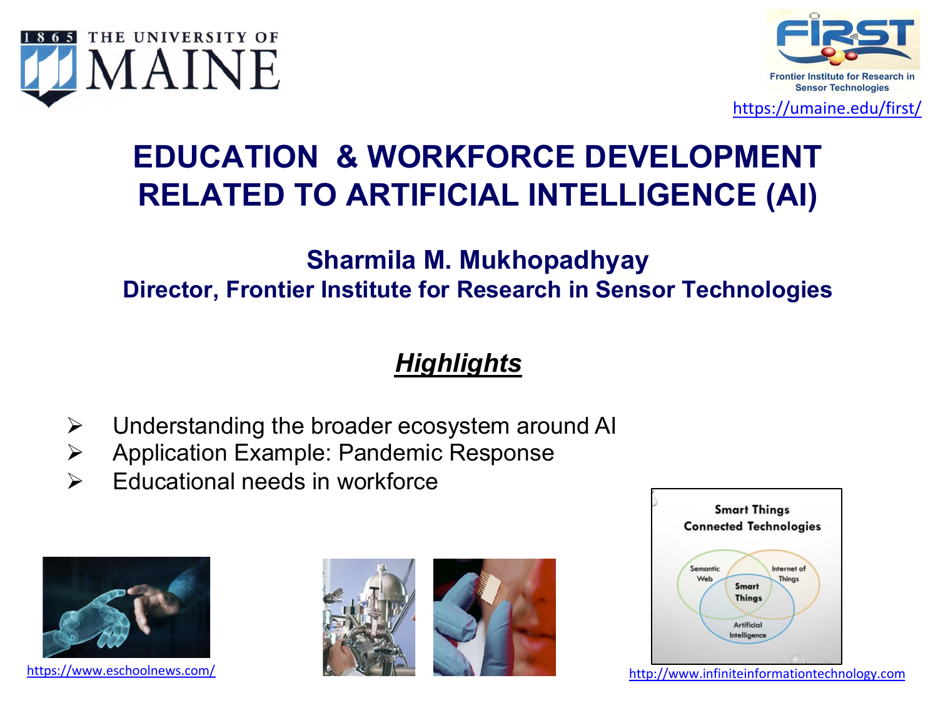



<https://umaine.edu/first/>

# **EDUCATION & WORKFORCE DEVELOPMENT RELATED TO ARTIFICIAL INTELLIGENCE (AI)**

### **Sharmila M. Mukhopadhyay Director, Frontier Institute for Research in Sensor Technologies**

## *Highlights*

- $\triangleright$  Understanding the broader ecosystem around AI
- Ø Application Example: Pandemic Response
- $\triangleright$  Educational needs in workforce









[https://www.eschoolnews.com/](https://www.eschoolnews.com/2019/08/09/3-ways-to-use-ai-in-the-classroom/) **[http://www.infiniteinformationtechnology.com](http://www.infiniteinformationtechnology.com/)**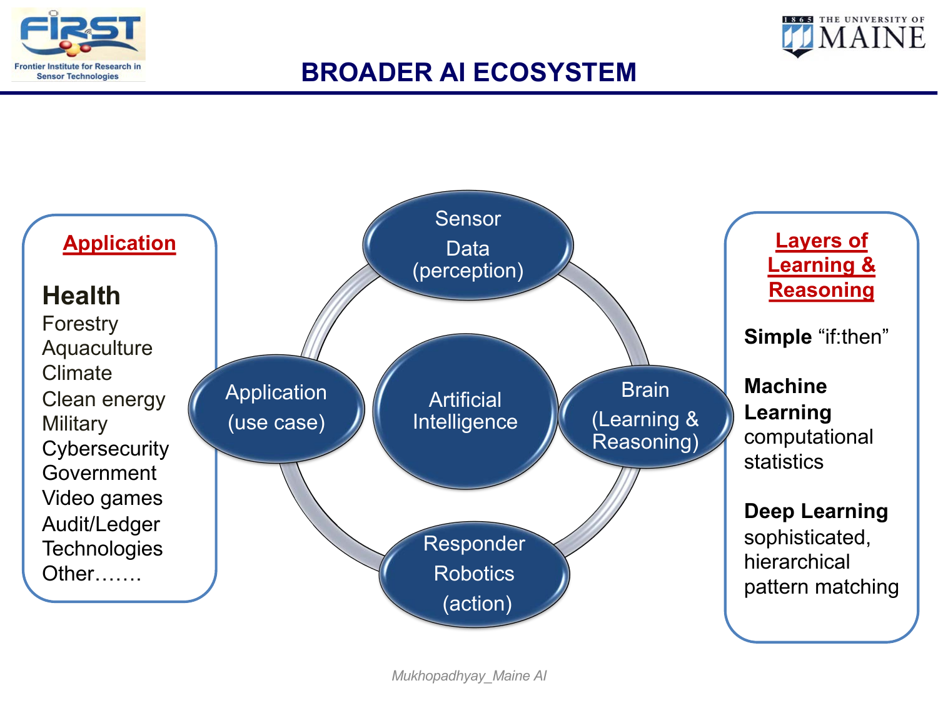



## **BROADER AI ECOSYSTEM**

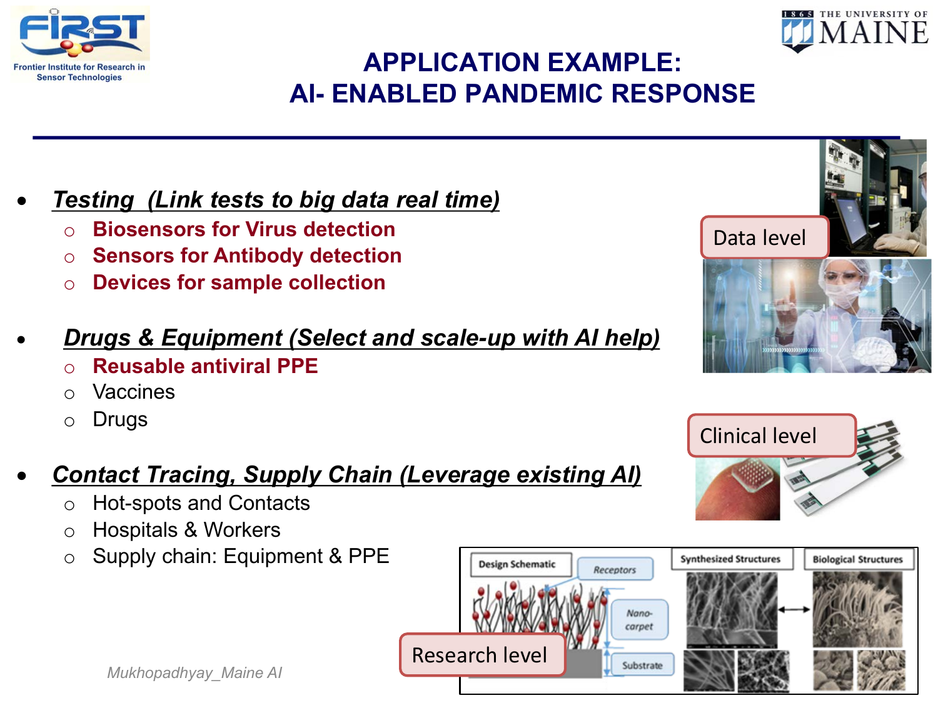



# **APPLICATION EXAMPLE: AI- ENABLED PANDEMIC RESPONSE**

- *Testing (Link tests to big data real time)*
	- o **Biosensors for Virus detection**
	- o **Sensors for Antibody detection**
	- o **Devices for sample collection**

### • *Drugs & Equipment (Select and scale-up with AI help)*

- o **Reusable antiviral PPE**
- o Vaccines
- o Drugs

# • *Contact Tracing, Supply Chain (Leverage existing AI)*

o Hot-spots and Contacts

*Mukhopadhyay\_Maine AI*

- o Hospitals & Workers
- o Supply chain: Equipment & PPE